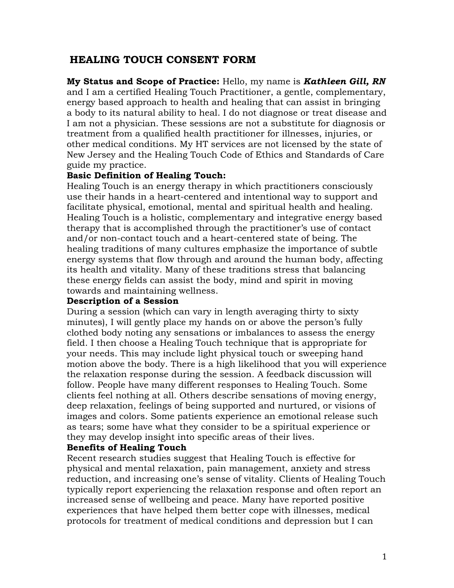# **HEALING TOUCH CONSENT FORM**

**My Status and Scope of Practice:** Hello, my name is *Kathleen Gill, RN* and I am a certified Healing Touch Practitioner, a gentle, complementary, energy based approach to health and healing that can assist in bringing a body to its natural ability to heal. I do not diagnose or treat disease and I am not a physician. These sessions are not a substitute for diagnosis or treatment from a qualified health practitioner for illnesses, injuries, or other medical conditions. My HT services are not licensed by the state of New Jersey and the Healing Touch Code of Ethics and Standards of Care guide my practice.

#### **Basic Definition of Healing Touch:**

Healing Touch is an energy therapy in which practitioners consciously use their hands in a heart-centered and intentional way to support and facilitate physical, emotional, mental and spiritual health and healing. Healing Touch is a holistic, complementary and integrative energy based therapy that is accomplished through the practitioner's use of contact and/or non-contact touch and a heart-centered state of being. The healing traditions of many cultures emphasize the importance of subtle energy systems that flow through and around the human body, affecting its health and vitality. Many of these traditions stress that balancing these energy fields can assist the body, mind and spirit in moving towards and maintaining wellness.

#### **Description of a Session**

During a session (which can vary in length averaging thirty to sixty minutes), I will gently place my hands on or above the person's fully clothed body noting any sensations or imbalances to assess the energy field. I then choose a Healing Touch technique that is appropriate for your needs. This may include light physical touch or sweeping hand motion above the body. There is a high likelihood that you will experience the relaxation response during the session. A feedback discussion will follow. People have many different responses to Healing Touch. Some clients feel nothing at all. Others describe sensations of moving energy, deep relaxation, feelings of being supported and nurtured, or visions of images and colors. Some patients experience an emotional release such as tears; some have what they consider to be a spiritual experience or they may develop insight into specific areas of their lives.

#### **Benefits of Healing Touch**

Recent research studies suggest that Healing Touch is effective for physical and mental relaxation, pain management, anxiety and stress reduction, and increasing one's sense of vitality. Clients of Healing Touch typically report experiencing the relaxation response and often report an increased sense of wellbeing and peace. Many have reported positive experiences that have helped them better cope with illnesses, medical protocols for treatment of medical conditions and depression but I can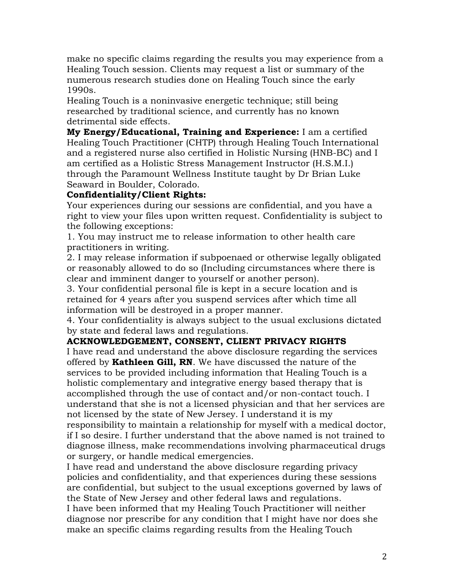make no specific claims regarding the results you may experience from a Healing Touch session. Clients may request a list or summary of the numerous research studies done on Healing Touch since the early 1990s.

Healing Touch is a noninvasive energetic technique; still being researched by traditional science, and currently has no known detrimental side effects.

**My Energy/Educational, Training and Experience:** I am a certified Healing Touch Practitioner (CHTP) through Healing Touch International and a registered nurse also certified in Holistic Nursing (HNB-BC) and I am certified as a Holistic Stress Management Instructor (H.S.M.I.) through the Paramount Wellness Institute taught by Dr Brian Luke Seaward in Boulder, Colorado.

### **Confidentiality/Client Rights:**

Your experiences during our sessions are confidential, and you have a right to view your files upon written request. Confidentiality is subject to the following exceptions:

1. You may instruct me to release information to other health care practitioners in writing.

2. I may release information if subpoenaed or otherwise legally obligated or reasonably allowed to do so (Including circumstances where there is clear and imminent danger to yourself or another person).

3. Your confidential personal file is kept in a secure location and is retained for 4 years after you suspend services after which time all information will be destroyed in a proper manner.

4. Your confidentiality is always subject to the usual exclusions dictated by state and federal laws and regulations.

## **ACKNOWLEDGEMENT, CONSENT, CLIENT PRIVACY RIGHTS**

I have read and understand the above disclosure regarding the services offered by **Kathleen Gill, RN**. We have discussed the nature of the services to be provided including information that Healing Touch is a holistic complementary and integrative energy based therapy that is accomplished through the use of contact and/or non-contact touch. I understand that she is not a licensed physician and that her services are not licensed by the state of New Jersey. I understand it is my

responsibility to maintain a relationship for myself with a medical doctor, if I so desire. I further understand that the above named is not trained to diagnose illness, make recommendations involving pharmaceutical drugs or surgery, or handle medical emergencies.

I have read and understand the above disclosure regarding privacy policies and confidentiality, and that experiences during these sessions are confidential, but subject to the usual exceptions governed by laws of the State of New Jersey and other federal laws and regulations. I have been informed that my Healing Touch Practitioner will neither diagnose nor prescribe for any condition that I might have nor does she make an specific claims regarding results from the Healing Touch